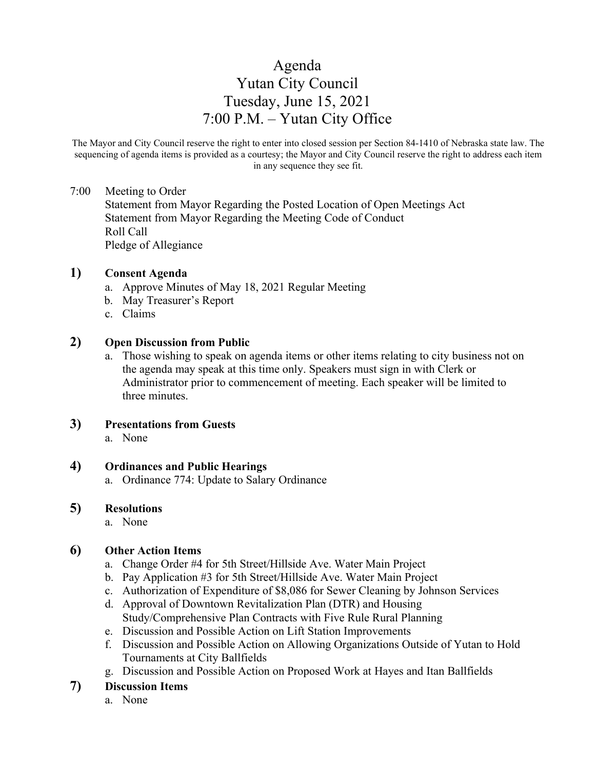# Agenda Yutan City Council Tuesday, June 15, 2021 7:00 P.M. – Yutan City Office

The Mayor and City Council reserve the right to enter into closed session per Section 84-1410 of Nebraska state law. The sequencing of agenda items is provided as a courtesy; the Mayor and City Council reserve the right to address each item in any sequence they see fit.

#### 7:00 Meeting to Order

Statement from Mayor Regarding the Posted Location of Open Meetings Act Statement from Mayor Regarding the Meeting Code of Conduct Roll Call Pledge of Allegiance

#### **1) Consent Agenda**

- a. Approve Minutes of May 18, 2021 Regular Meeting
- b. May Treasurer's Report
- c. Claims

## **2) Open Discussion from Public**

a. Those wishing to speak on agenda items or other items relating to city business not on the agenda may speak at this time only. Speakers must sign in with Clerk or Administrator prior to commencement of meeting. Each speaker will be limited to three minutes.

## **3) Presentations from Guests**

a. None

## **4) Ordinances and Public Hearings**

a. Ordinance 774: Update to Salary Ordinance

#### **5) Resolutions**

a. None

## **6) Other Action Items**

- a. Change Order #4 for 5th Street/Hillside Ave. Water Main Project
- b. Pay Application #3 for 5th Street/Hillside Ave. Water Main Project
- c. Authorization of Expenditure of \$8,086 for Sewer Cleaning by Johnson Services
- d. Approval of Downtown Revitalization Plan (DTR) and Housing Study/Comprehensive Plan Contracts with Five Rule Rural Planning
- e. Discussion and Possible Action on Lift Station Improvements
- f. Discussion and Possible Action on Allowing Organizations Outside of Yutan to Hold Tournaments at City Ballfields
- g. Discussion and Possible Action on Proposed Work at Hayes and Itan Ballfields

## **7) Discussion Items**

a. None